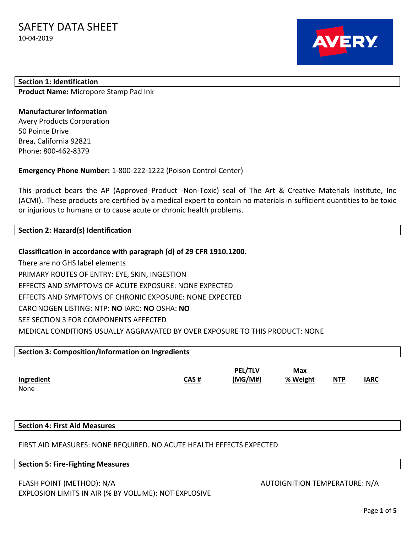

## **Section 1: Identification Product Name:** Micropore Stamp Pad Ink

# **Manufacturer Information**

Avery Products Corporation 50 Pointe Drive Brea, California 92821 Phone: 800-462-8379

# **Emergency Phone Number:** 1-800-222-1222 (Poison Control Center)

This product bears the AP (Approved Product -Non-Toxic) seal of The Art & Creative Materials Institute, Inc (ACMI). These products are certified by a medical expert to contain no materials in sufficient quantities to be toxic or injurious to humans or to cause acute or chronic health problems.

# **Section 2: Hazard(s) Identification**

# **Classification in accordance with paragraph (d) of 29 CFR 1910.1200.**

There are no GHS label elements PRIMARY ROUTES OF ENTRY: EYE, SKIN, INGESTION EFFECTS AND SYMPTOMS OF ACUTE EXPOSURE: NONE EXPECTED EFFECTS AND SYMPTOMS OF CHRONIC EXPOSURE: NONE EXPECTED CARCINOGEN LISTING: NTP: **NO** IARC: **NO** OSHA: **NO** SEE SECTION 3 FOR COMPONENTS AFFECTED MEDICAL CONDITIONS USUALLY AGGRAVATED BY OVER EXPOSURE TO THIS PRODUCT: NONE

| Section 3: Composition/Information on Ingredients |      |                           |                 |            |             |  |  |
|---------------------------------------------------|------|---------------------------|-----------------|------------|-------------|--|--|
| Ingredient<br>None                                | CAS# | <b>PEL/TLV</b><br>(MG/M#) | Max<br>% Weight | <b>NTP</b> | <b>IARC</b> |  |  |

## **Section 4: First Aid Measures**

# FIRST AID MEASURES: NONE REQUIRED. NO ACUTE HEALTH EFFECTS EXPECTED

## **Section 5: Fire-Fighting Measures**

# FLASH POINT (METHOD): N/A AUTOIGNITION TEMPERATURE: N/A EXPLOSION LIMITS IN AIR (% BY VOLUME): NOT EXPLOSIVE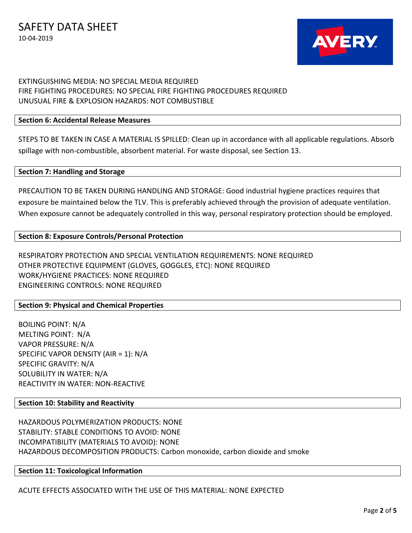

# EXTINGUISHING MEDIA: NO SPECIAL MEDIA REQUIRED FIRE FIGHTING PROCEDURES: NO SPECIAL FIRE FIGHTING PROCEDURES REQUIRED UNUSUAL FIRE & EXPLOSION HAZARDS: NOT COMBUSTIBLE

# **Section 6: Accidental Release Measures**

STEPS TO BE TAKEN IN CASE A MATERIAL IS SPILLED: Clean up in accordance with all applicable regulations. Absorb spillage with non-combustible, absorbent material. For waste disposal, see Section 13.

# **Section 7: Handling and Storage**

PRECAUTION TO BE TAKEN DURING HANDLING AND STORAGE: Good industrial hygiene practices requires that exposure be maintained below the TLV. This is preferably achieved through the provision of adequate ventilation. When exposure cannot be adequately controlled in this way, personal respiratory protection should be employed.

# **Section 8: Exposure Controls/Personal Protection**

RESPIRATORY PROTECTION AND SPECIAL VENTILATION REQUIREMENTS: NONE REQUIRED OTHER PROTECTIVE EQUIPMENT (GLOVES, GOGGLES, ETC): NONE REQUIRED WORK/HYGIENE PRACTICES: NONE REQUIRED ENGINEERING CONTROLS: NONE REQUIRED

# **Section 9: Physical and Chemical Properties**

BOILING POINT: N/A MELTING POINT: N/A VAPOR PRESSURE: N/A SPECIFIC VAPOR DENSITY (AIR = 1): N/A SPECIFIC GRAVITY: N/A SOLUBILITY IN WATER: N/A REACTIVITY IN WATER: NON-REACTIVE

# **Section 10: Stability and Reactivity**

HAZARDOUS POLYMERIZATION PRODUCTS: NONE STABILITY: STABLE CONDITIONS TO AVOID: NONE INCOMPATIBILITY (MATERIALS TO AVOID): NONE HAZARDOUS DECOMPOSITION PRODUCTS: Carbon monoxide, carbon dioxide and smoke

# **Section 11: Toxicological Information**

ACUTE EFFECTS ASSOCIATED WITH THE USE OF THIS MATERIAL: NONE EXPECTED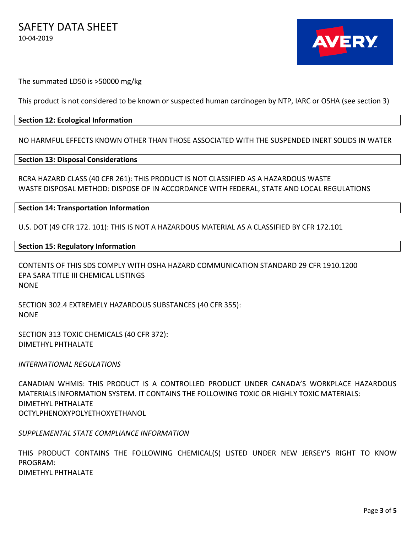

The summated LD50 is >50000 mg/kg

This product is not considered to be known or suspected human carcinogen by NTP, IARC or OSHA (see section 3)

## **Section 12: Ecological Information**

NO HARMFUL EFFECTS KNOWN OTHER THAN THOSE ASSOCIATED WITH THE SUSPENDED INERT SOLIDS IN WATER

## **Section 13: Disposal Considerations**

RCRA HAZARD CLASS (40 CFR 261): THIS PRODUCT IS NOT CLASSIFIED AS A HAZARDOUS WASTE WASTE DISPOSAL METHOD: DISPOSE OF IN ACCORDANCE WITH FEDERAL, STATE AND LOCAL REGULATIONS

## **Section 14: Transportation Information**

U.S. DOT (49 CFR 172. 101): THIS IS NOT A HAZARDOUS MATERIAL AS A CLASSIFIED BY CFR 172.101

## **Section 15: Regulatory Information**

CONTENTS OF THIS SDS COMPLY WITH OSHA HAZARD COMMUNICATION STANDARD 29 CFR 1910.1200 EPA SARA TITLE III CHEMICAL LISTINGS NONE

SECTION 302.4 EXTREMELY HAZARDOUS SUBSTANCES (40 CFR 355): NONE

SECTION 313 TOXIC CHEMICALS (40 CFR 372): DIMETHYL PHTHALATE

## *INTERNATIONAL REGULATIONS*

CANADIAN WHMIS: THIS PRODUCT IS A CONTROLLED PRODUCT UNDER CANADA'S WORKPLACE HAZARDOUS MATERIALS INFORMATION SYSTEM. IT CONTAINS THE FOLLOWING TOXIC OR HIGHLY TOXIC MATERIALS: DIMETHYL PHTHALATE OCTYLPHENOXYPOLYETHOXYETHANOL

*SUPPLEMENTAL STATE COMPLIANCE INFORMATION*

THIS PRODUCT CONTAINS THE FOLLOWING CHEMICAL(S) LISTED UNDER NEW JERSEY'S RIGHT TO KNOW PROGRAM: DIMETHYL PHTHALATE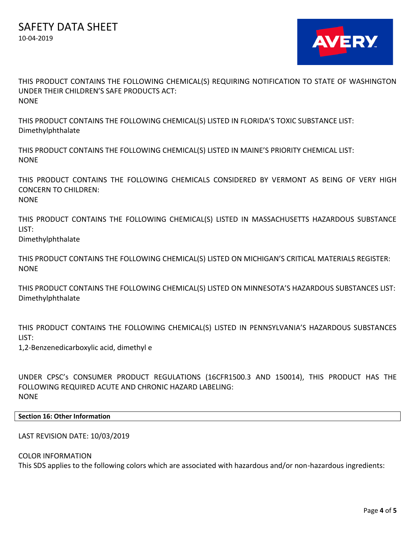

THIS PRODUCT CONTAINS THE FOLLOWING CHEMICAL(S) REQUIRING NOTIFICATION TO STATE OF WASHINGTON UNDER THEIR CHILDREN'S SAFE PRODUCTS ACT: NONE

THIS PRODUCT CONTAINS THE FOLLOWING CHEMICAL(S) LISTED IN FLORIDA'S TOXIC SUBSTANCE LIST: Dimethylphthalate

THIS PRODUCT CONTAINS THE FOLLOWING CHEMICAL(S) LISTED IN MAINE'S PRIORITY CHEMICAL LIST: NONE

THIS PRODUCT CONTAINS THE FOLLOWING CHEMICALS CONSIDERED BY VERMONT AS BEING OF VERY HIGH CONCERN TO CHILDREN: NONE

THIS PRODUCT CONTAINS THE FOLLOWING CHEMICAL(S) LISTED IN MASSACHUSETTS HAZARDOUS SUBSTANCE LIST:

Dimethylphthalate

THIS PRODUCT CONTAINS THE FOLLOWING CHEMICAL(S) LISTED ON MICHIGAN'S CRITICAL MATERIALS REGISTER: **NONE** 

THIS PRODUCT CONTAINS THE FOLLOWING CHEMICAL(S) LISTED ON MINNESOTA'S HAZARDOUS SUBSTANCES LIST: Dimethylphthalate

THIS PRODUCT CONTAINS THE FOLLOWING CHEMICAL(S) LISTED IN PENNSYLVANIA'S HAZARDOUS SUBSTANCES LIST:

1,2-Benzenedicarboxylic acid, dimethyl e

UNDER CPSC's CONSUMER PRODUCT REGULATIONS (16CFR1500.3 AND 150014), THIS PRODUCT HAS THE FOLLOWING REQUIRED ACUTE AND CHRONIC HAZARD LABELING: **NONE** 

## **Section 16: Other Information**

LAST REVISION DATE: 10/03/2019

## COLOR INFORMATION

This SDS applies to the following colors which are associated with hazardous and/or non-hazardous ingredients: